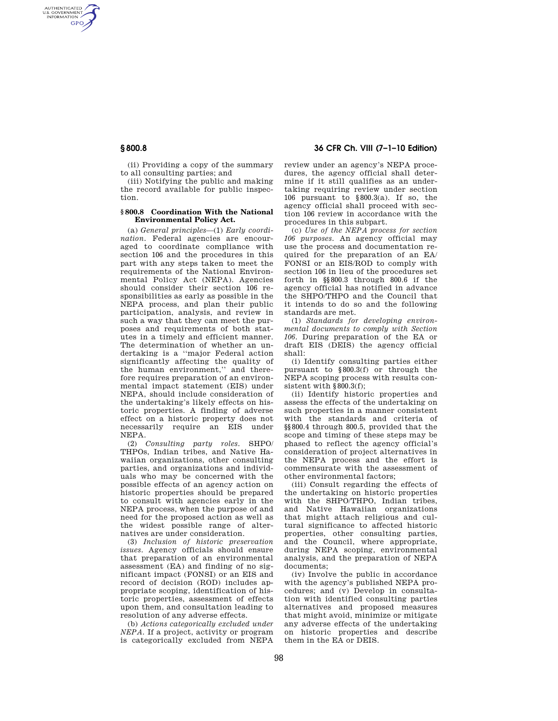## **§ 800.8 36 CFR Ch. VIII (7–1–10 Edition)**

AUTHENTICATED<br>U.S. GOVERNMENT<br>INFORMATION **GPO** 

> (ii) Providing a copy of the summary to all consulting parties; and

> (iii) Notifying the public and making the record available for public inspection.

## **§ 800.8 Coordination With the National Environmental Policy Act.**

(a) *General principles*—(1) *Early coordination.* Federal agencies are encouraged to coordinate compliance with section 106 and the procedures in this part with any steps taken to meet the requirements of the National Environmental Policy Act (NEPA). Agencies should consider their section 106 responsibilities as early as possible in the NEPA process, and plan their public participation, analysis, and review in such a way that they can meet the purposes and requirements of both statutes in a timely and efficient manner. The determination of whether an undertaking is a ''major Federal action significantly affecting the quality of the human environment,'' and therefore requires preparation of an environmental impact statement (EIS) under NEPA, should include consideration of the undertaking's likely effects on historic properties. A finding of adverse effect on a historic property does not necessarily require an EIS under NEPA.

(2) *Consulting party roles.* SHPO/ THPOs, Indian tribes, and Native Hawaiian organizations, other consulting parties, and organizations and individuals who may be concerned with the possible effects of an agency action on historic properties should be prepared to consult with agencies early in the NEPA process, when the purpose of and need for the proposed action as well as the widest possible range of alternatives are under consideration.

(3) *Inclusion of historic preservation issues.* Agency officials should ensure that preparation of an environmental assessment (EA) and finding of no significant impact (FONSI) or an EIS and record of decision (ROD) includes appropriate scoping, identification of historic properties, assessment of effects upon them, and consultation leading to resolution of any adverse effects.

(b) *Actions categorically excluded under NEPA.* If a project, activity or program is categorically excluded from NEPA review under an agency's NEPA procedures, the agency official shall determine if it still qualifies as an undertaking requiring review under section 106 pursuant to §800.3(a). If so, the agency official shall proceed with section 106 review in accordance with the procedures in this subpart.

(c) *Use of the NEPA process for section 106 purposes.* An agency official may use the process and documentation required for the preparation of an EA/ FONSI or an EIS/ROD to comply with section 106 in lieu of the procedures set forth in §§800.3 through 800.6 if the agency official has notified in advance the SHPO/THPO and the Council that it intends to do so and the following standards are met.

(1) *Standards for developing environmental documents to comply with Section 106.* During preparation of the EA or draft EIS (DEIS) the agency official shall:

(i) Identify consulting parties either pursuant to §800.3(f) or through the NEPA scoping process with results consistent with §800.3(f);

(ii) Identify historic properties and assess the effects of the undertaking on such properties in a manner consistent with the standards and criteria of §§800.4 through 800.5, provided that the scope and timing of these steps may be phased to reflect the agency official's consideration of project alternatives in the NEPA process and the effort is commensurate with the assessment of other environmental factors;

(iii) Consult regarding the effects of the undertaking on historic properties with the SHPO/THPO, Indian tribes, and Native Hawaiian organizations that might attach religious and cultural significance to affected historic properties, other consulting parties, and the Council, where appropriate, during NEPA scoping, environmental analysis, and the preparation of NEPA documents;

(iv) Involve the public in accordance with the agency's published NEPA procedures; and (v) Develop in consultation with identified consulting parties alternatives and proposed measures that might avoid, minimize or mitigate any adverse effects of the undertaking on historic properties and describe them in the EA or DEIS.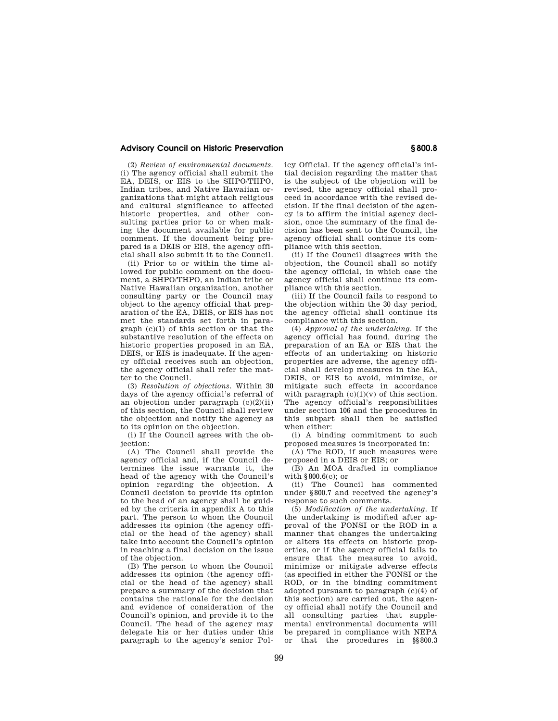## **Advisory Council on Historic Preservation § 800.8**

(2) *Review of environmental documents.*  (i) The agency official shall submit the EA, DEIS, or EIS to the SHPO/THPO, Indian tribes, and Native Hawaiian organizations that might attach religious and cultural significance to affected historic properties, and other consulting parties prior to or when making the document available for public comment. If the document being prepared is a DEIS or EIS, the agency official shall also submit it to the Council.

(ii) Prior to or within the time allowed for public comment on the document, a SHPO/THPO, an Indian tribe or Native Hawaiian organization, another consulting party or the Council may object to the agency official that preparation of the EA, DEIS, or EIS has not met the standards set forth in paragraph (c)(1) of this section or that the substantive resolution of the effects on historic properties proposed in an EA, DEIS, or EIS is inadequate. If the agency official receives such an objection, the agency official shall refer the matter to the Council.

(3) *Resolution of objections.* Within 30 days of the agency official's referral of an objection under paragraph  $(c)(2)(ii)$ of this section, the Council shall review the objection and notify the agency as to its opinion on the objection.

(i) If the Council agrees with the objection:

(A) The Council shall provide the agency official and, if the Council determines the issue warrants it, the head of the agency with the Council's opinion regarding the objection. A Council decision to provide its opinion to the head of an agency shall be guided by the criteria in appendix A to this part. The person to whom the Council addresses its opinion (the agency official or the head of the agency) shall take into account the Council's opinion in reaching a final decision on the issue of the objection.

(B) The person to whom the Council addresses its opinion (the agency official or the head of the agency) shall prepare a summary of the decision that contains the rationale for the decision and evidence of consideration of the Council's opinion, and provide it to the Council. The head of the agency may delegate his or her duties under this paragraph to the agency's senior Policy Official. If the agency official's initial decision regarding the matter that is the subject of the objection will be revised, the agency official shall proceed in accordance with the revised decision. If the final decision of the agency is to affirm the initial agency decision, once the summary of the final decision has been sent to the Council, the agency official shall continue its compliance with this section.

(ii) If the Council disagrees with the objection, the Council shall so notify the agency official, in which case the agency official shall continue its compliance with this section.

(iii) If the Council fails to respond to the objection within the 30 day period, the agency official shall continue its compliance with this section.

(4) *Approval of the undertaking.* If the agency official has found, during the preparation of an EA or EIS that the effects of an undertaking on historic properties are adverse, the agency official shall develop measures in the EA, DEIS, or EIS to avoid, minimize, or mitigate such effects in accordance with paragraph  $(c)(1)(v)$  of this section. The agency official's responsibilities under section 106 and the procedures in this subpart shall then be satisfied when either:

(i) A binding commitment to such proposed measures is incorporated in:

(A) The ROD, if such measures were proposed in a DEIS or EIS; or

(B) An MOA drafted in compliance with §800.6(c); or

(ii) The Council has commented under §800.7 and received the agency's response to such comments.

(5) *Modification of the undertaking.* If the undertaking is modified after approval of the FONSI or the ROD in a manner that changes the undertaking or alters its effects on historic properties, or if the agency official fails to ensure that the measures to avoid, minimize or mitigate adverse effects (as specified in either the FONSI or the ROD, or in the binding commitment adopted pursuant to paragraph (c)(4) of this section) are carried out, the agency official shall notify the Council and all consulting parties that supplemental environmental documents will be prepared in compliance with NEPA or that the procedures in §§800.3